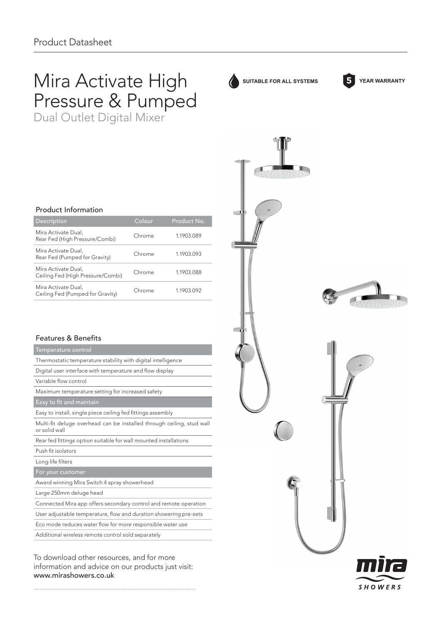# Mira Activate High Pressure & Pumped

Dual Outlet Digital Mixer

| <b>Product Information</b>                               |        |             |
|----------------------------------------------------------|--------|-------------|
| Description                                              | Colour | Product No. |
| Mira Activate Dual.<br>Rear Fed (High Pressure/Combi)    | Chrome | 1.1903.089  |
| Mira Activate Dual.<br>Rear Fed (Pumped for Gravity)     | Chrome | 1.1903.093  |
| Mira Activate Dual.<br>Ceiling Fed (High Pressure/Combi) | Chrome | 1.1903.088  |
| Mira Activate Dual,<br>Ceiling Fed (Pumped for Gravity)  | Chrome | 1.1903.092  |

## Features & Benefits

| Temperature control                                                                    |
|----------------------------------------------------------------------------------------|
| Thermostatic temperature stability with digital intelligence                           |
| Digital user interface with temperature and flow display                               |
| Variable flow control                                                                  |
| Maximum temperature setting for increased safety                                       |
| Easy to fit and maintain                                                               |
| Easy to install, single piece ceiling fed fittings assembly                            |
| Multi-fit deluge overhead can be installed through ceiling, stud wall<br>or solid wall |
| Rear fed fittings option suitable for wall mounted installations                       |
| Push fit isolators                                                                     |
| Long life filters                                                                      |
| For your customer                                                                      |
| Award winning Mira Switch 4 spray showerhead                                           |
| Large 250mm deluge head                                                                |
| Connected Mira app offers secondary control and remote operation                       |
| User adjustable temperature, flow and duration showering pre-sets                      |
| Eco mode reduces water flow for more responsible water use                             |
| Additional wireless remote control sold separately                                     |
|                                                                                        |

To download other resources, and for more information and advice on our products just visit: www.mirashowers.co.uk



**5**

**SUITABLE FOR ALL SYSTEMS YEAR WARRANTY** 

**SHOWERS**